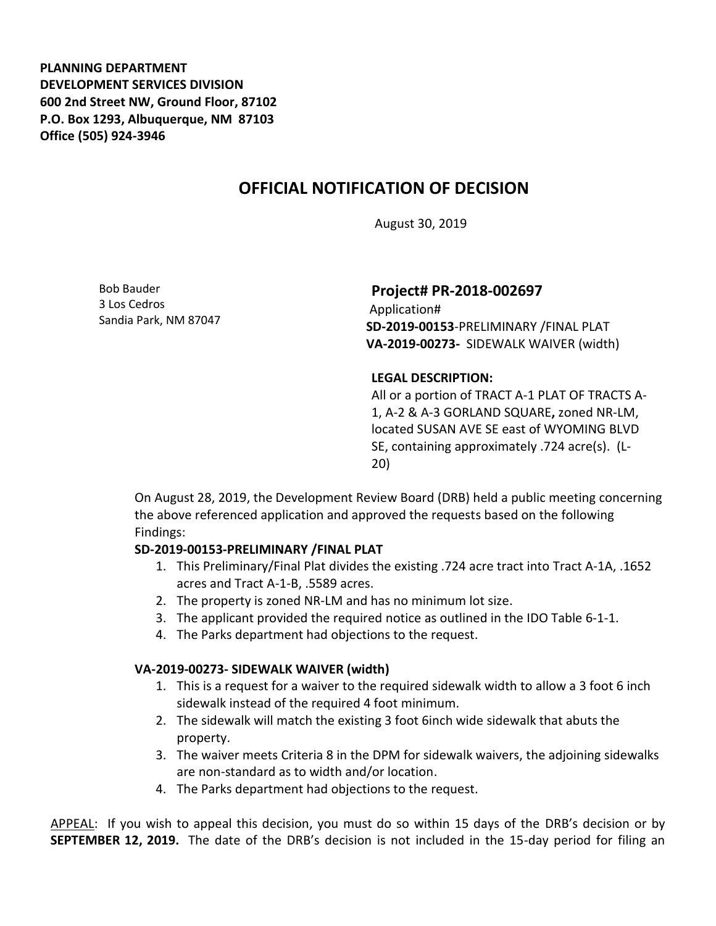**PLANNING DEPARTMENT DEVELOPMENT SERVICES DIVISION 600 2nd Street NW, Ground Floor, 87102 P.O. Box 1293, Albuquerque, NM 87103 Office (505) 924-3946** 

# **OFFICIAL NOTIFICATION OF DECISION**

August 30, 2019

Bob Bauder 3 Los Cedros Sandia Park, NM 87047

# **Project# PR-2018-002697**

Application# **SD-2019-00153**-PRELIMINARY /FINAL PLAT **VA-2019-00273-** SIDEWALK WAIVER (width)

#### **LEGAL DESCRIPTION:**

All or a portion of TRACT A-1 PLAT OF TRACTS A-1, A-2 & A-3 GORLAND SQUARE**,** zoned NR-LM, located SUSAN AVE SE east of WYOMING BLVD SE, containing approximately .724 acre(s). (L-20)

On August 28, 2019, the Development Review Board (DRB) held a public meeting concerning the above referenced application and approved the requests based on the following Findings:

## **SD-2019-00153-PRELIMINARY /FINAL PLAT**

- 1. This Preliminary/Final Plat divides the existing .724 acre tract into Tract A-1A, .1652 acres and Tract A-1-B, .5589 acres.
- 2. The property is zoned NR-LM and has no minimum lot size.
- 3. The applicant provided the required notice as outlined in the IDO Table 6-1-1.
- 4. The Parks department had objections to the request.

## **VA-2019-00273- SIDEWALK WAIVER (width)**

- 1. This is a request for a waiver to the required sidewalk width to allow a 3 foot 6 inch sidewalk instead of the required 4 foot minimum.
- 2. The sidewalk will match the existing 3 foot 6inch wide sidewalk that abuts the property.
- 3. The waiver meets Criteria 8 in the DPM for sidewalk waivers, the adjoining sidewalks are non-standard as to width and/or location.
- 4. The Parks department had objections to the request.

APPEAL: If you wish to appeal this decision, you must do so within 15 days of the DRB's decision or by **SEPTEMBER 12, 2019.** The date of the DRB's decision is not included in the 15-day period for filing an